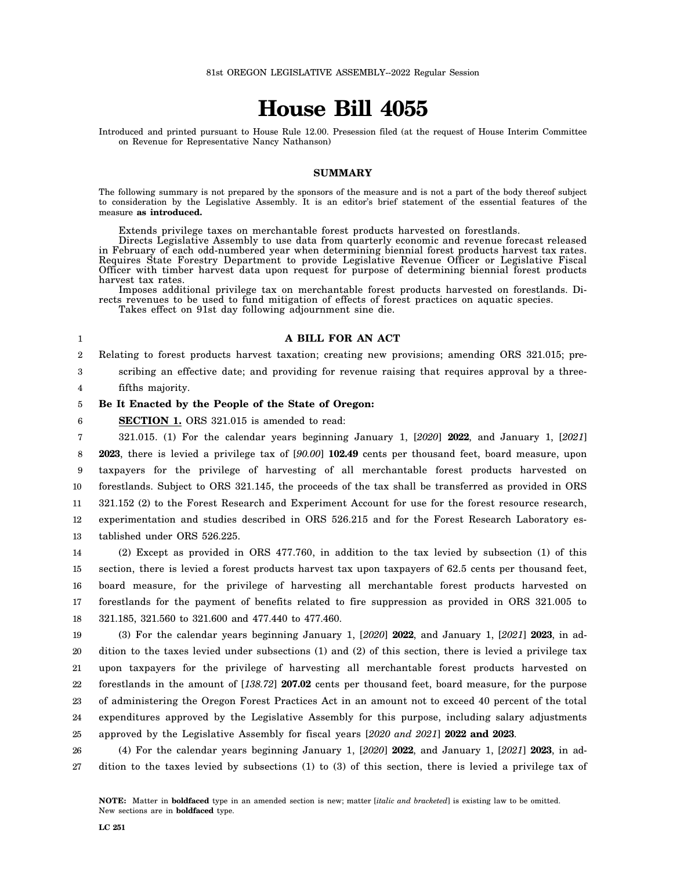# **House Bill 4055**

Introduced and printed pursuant to House Rule 12.00. Presession filed (at the request of House Interim Committee on Revenue for Representative Nancy Nathanson)

### **SUMMARY**

The following summary is not prepared by the sponsors of the measure and is not a part of the body thereof subject to consideration by the Legislative Assembly. It is an editor's brief statement of the essential features of the measure **as introduced.**

Extends privilege taxes on merchantable forest products harvested on forestlands.

Directs Legislative Assembly to use data from quarterly economic and revenue forecast released in February of each odd-numbered year when determining biennial forest products harvest tax rates. Requires State Forestry Department to provide Legislative Revenue Officer or Legislative Fiscal Officer with timber harvest data upon request for purpose of determining biennial forest products harvest tax rates.

Imposes additional privilege tax on merchantable forest products harvested on forestlands. Directs revenues to be used to fund mitigation of effects of forest practices on aquatic species.

Takes effect on 91st day following adjournment sine die.

## **A BILL FOR AN ACT**

Relating to forest products harvest taxation; creating new provisions; amending ORS 321.015; pre-

1  $2^{\circ}$ 

6

3

scribing an effective date; and providing for revenue raising that requires approval by a three-

4 fifths majority.

### 5 **Be It Enacted by the People of the State of Oregon:**

**SECTION 1.** ORS 321.015 is amended to read:

7 8 9 10 11 12 13 321.015. (1) For the calendar years beginning January 1, [*2020*] **2022**, and January 1, [*2021*] **2023**, there is levied a privilege tax of [*90.00*] **102.49** cents per thousand feet, board measure, upon taxpayers for the privilege of harvesting of all merchantable forest products harvested on forestlands. Subject to ORS 321.145, the proceeds of the tax shall be transferred as provided in ORS 321.152 (2) to the Forest Research and Experiment Account for use for the forest resource research, experimentation and studies described in ORS 526.215 and for the Forest Research Laboratory established under ORS 526.225.

14 15 16 17 18 (2) Except as provided in ORS 477.760, in addition to the tax levied by subsection (1) of this section, there is levied a forest products harvest tax upon taxpayers of 62.5 cents per thousand feet, board measure, for the privilege of harvesting all merchantable forest products harvested on forestlands for the payment of benefits related to fire suppression as provided in ORS 321.005 to 321.185, 321.560 to 321.600 and 477.440 to 477.460.

19 20 21 22 23 24 25 (3) For the calendar years beginning January 1, [*2020*] **2022**, and January 1, [*2021*] **2023**, in addition to the taxes levied under subsections (1) and (2) of this section, there is levied a privilege tax upon taxpayers for the privilege of harvesting all merchantable forest products harvested on forestlands in the amount of [*138.72*] **207.02** cents per thousand feet, board measure, for the purpose of administering the Oregon Forest Practices Act in an amount not to exceed 40 percent of the total expenditures approved by the Legislative Assembly for this purpose, including salary adjustments approved by the Legislative Assembly for fiscal years [*2020 and 2021*] **2022 and 2023**.

26 27 (4) For the calendar years beginning January 1, [*2020*] **2022**, and January 1, [*2021*] **2023**, in addition to the taxes levied by subsections (1) to (3) of this section, there is levied a privilege tax of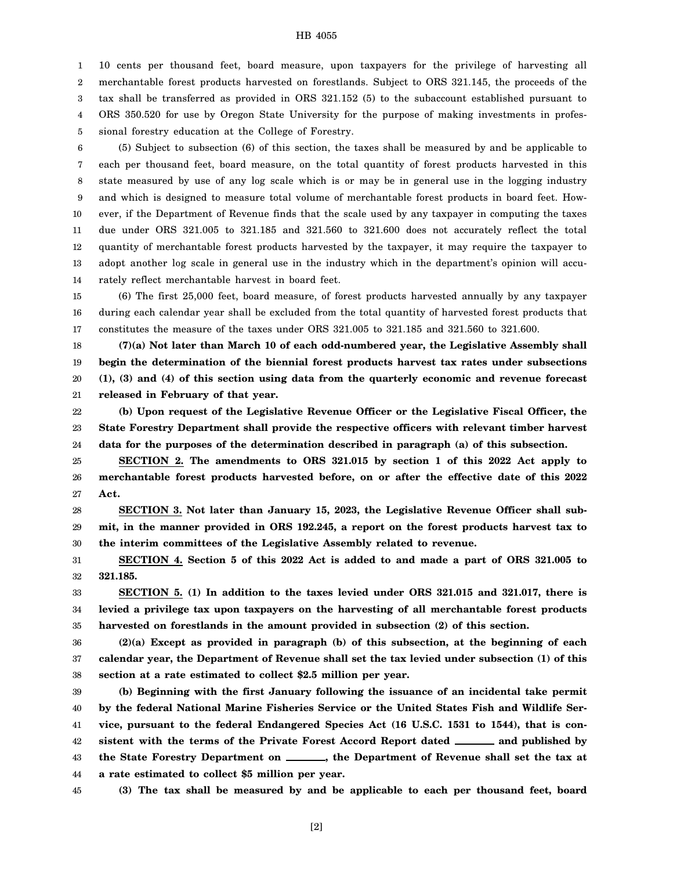## HB 4055

1 2 3 4 5 10 cents per thousand feet, board measure, upon taxpayers for the privilege of harvesting all merchantable forest products harvested on forestlands. Subject to ORS 321.145, the proceeds of the tax shall be transferred as provided in ORS 321.152 (5) to the subaccount established pursuant to ORS 350.520 for use by Oregon State University for the purpose of making investments in professional forestry education at the College of Forestry.

6 7 8 9 10 11 12 13 14 (5) Subject to subsection (6) of this section, the taxes shall be measured by and be applicable to each per thousand feet, board measure, on the total quantity of forest products harvested in this state measured by use of any log scale which is or may be in general use in the logging industry and which is designed to measure total volume of merchantable forest products in board feet. However, if the Department of Revenue finds that the scale used by any taxpayer in computing the taxes due under ORS 321.005 to 321.185 and 321.560 to 321.600 does not accurately reflect the total quantity of merchantable forest products harvested by the taxpayer, it may require the taxpayer to adopt another log scale in general use in the industry which in the department's opinion will accurately reflect merchantable harvest in board feet.

15 16 17 (6) The first 25,000 feet, board measure, of forest products harvested annually by any taxpayer during each calendar year shall be excluded from the total quantity of harvested forest products that constitutes the measure of the taxes under ORS 321.005 to 321.185 and 321.560 to 321.600.

18 19 20 21 **(7)(a) Not later than March 10 of each odd-numbered year, the Legislative Assembly shall begin the determination of the biennial forest products harvest tax rates under subsections (1), (3) and (4) of this section using data from the quarterly economic and revenue forecast released in February of that year.**

22 23 24 **(b) Upon request of the Legislative Revenue Officer or the Legislative Fiscal Officer, the State Forestry Department shall provide the respective officers with relevant timber harvest data for the purposes of the determination described in paragraph (a) of this subsection.**

25 26 27 **SECTION 2. The amendments to ORS 321.015 by section 1 of this 2022 Act apply to merchantable forest products harvested before, on or after the effective date of this 2022 Act.**

28 29 30 **SECTION 3. Not later than January 15, 2023, the Legislative Revenue Officer shall submit, in the manner provided in ORS 192.245, a report on the forest products harvest tax to the interim committees of the Legislative Assembly related to revenue.**

31 32 **SECTION 4. Section 5 of this 2022 Act is added to and made a part of ORS 321.005 to 321.185.**

33 34 35 **SECTION 5. (1) In addition to the taxes levied under ORS 321.015 and 321.017, there is levied a privilege tax upon taxpayers on the harvesting of all merchantable forest products harvested on forestlands in the amount provided in subsection (2) of this section.**

36 37 38 **(2)(a) Except as provided in paragraph (b) of this subsection, at the beginning of each calendar year, the Department of Revenue shall set the tax levied under subsection (1) of this section at a rate estimated to collect \$2.5 million per year.**

39 40 41 42 43 44 **(b) Beginning with the first January following the issuance of an incidental take permit by the federal National Marine Fisheries Service or the United States Fish and Wildlife Service, pursuant to the federal Endangered Species Act (16 U.S.C. 1531 to 1544), that is consistent with the terms of the Private Forest Accord Report dated and published by the State Forestry Department on , the Department of Revenue shall set the tax at a rate estimated to collect \$5 million per year.**

45 **(3) The tax shall be measured by and be applicable to each per thousand feet, board**